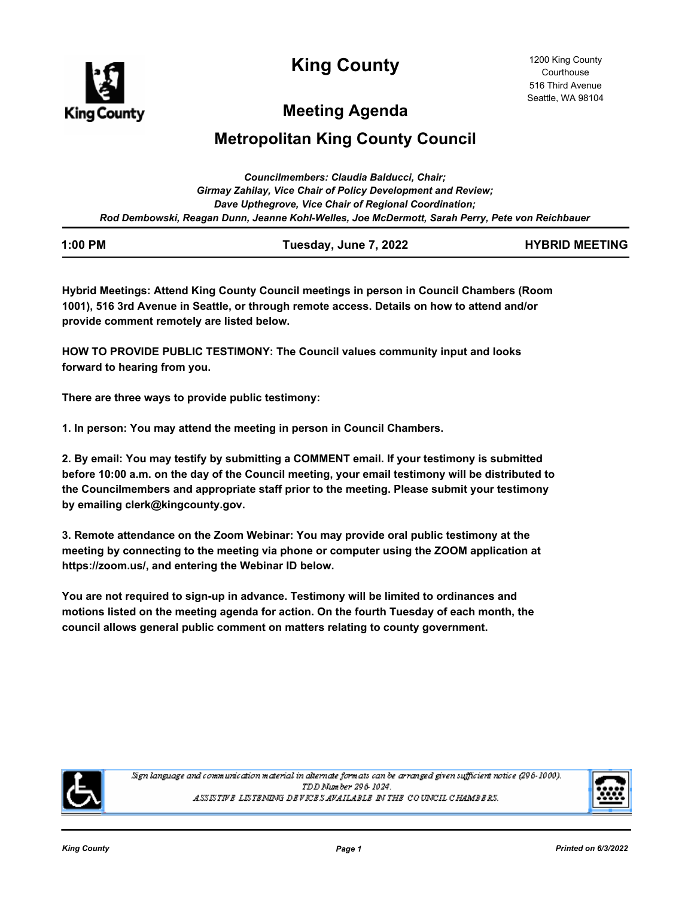

**King County**

# **Meeting Agenda**

# **Metropolitan King County Council**

| Councilmembers: Claudia Balducci, Chair:                                                        |
|-------------------------------------------------------------------------------------------------|
| <b>Girmay Zahilay, Vice Chair of Policy Development and Review;</b>                             |
| Dave Upthegrove, Vice Chair of Regional Coordination;                                           |
| Rod Dembowski, Reagan Dunn, Jeanne Kohl-Welles, Joe McDermott, Sarah Perry, Pete von Reichbauer |

| 1:00 PM | Tuesday, June 7, 2022 | <b>HYBRID MEETING</b> |
|---------|-----------------------|-----------------------|
|         |                       |                       |

**Hybrid Meetings: Attend King County Council meetings in person in Council Chambers (Room 1001), 516 3rd Avenue in Seattle, or through remote access. Details on how to attend and/or provide comment remotely are listed below.** 

**HOW TO PROVIDE PUBLIC TESTIMONY: The Council values community input and looks forward to hearing from you.**

**There are three ways to provide public testimony:**

**1. In person: You may attend the meeting in person in Council Chambers.**

**2. By email: You may testify by submitting a COMMENT email. If your testimony is submitted before 10:00 a.m. on the day of the Council meeting, your email testimony will be distributed to the Councilmembers and appropriate staff prior to the meeting. Please submit your testimony by emailing clerk@kingcounty.gov.**

**3. Remote attendance on the Zoom Webinar: You may provide oral public testimony at the meeting by connecting to the meeting via phone or computer using the ZOOM application at https://zoom.us/, and entering the Webinar ID below.**

**You are not required to sign-up in advance. Testimony will be limited to ordinances and motions listed on the meeting agenda for action. On the fourth Tuesday of each month, the council allows general public comment on matters relating to county government.**



Sign language and communication material in alternate formats can be arranged given sufficient notice (296-1000). TDD Number 296-1024. ASSISTIVE LISTENING DEVICES AVAILABLE IN THE COUNCIL CHAMBERS.

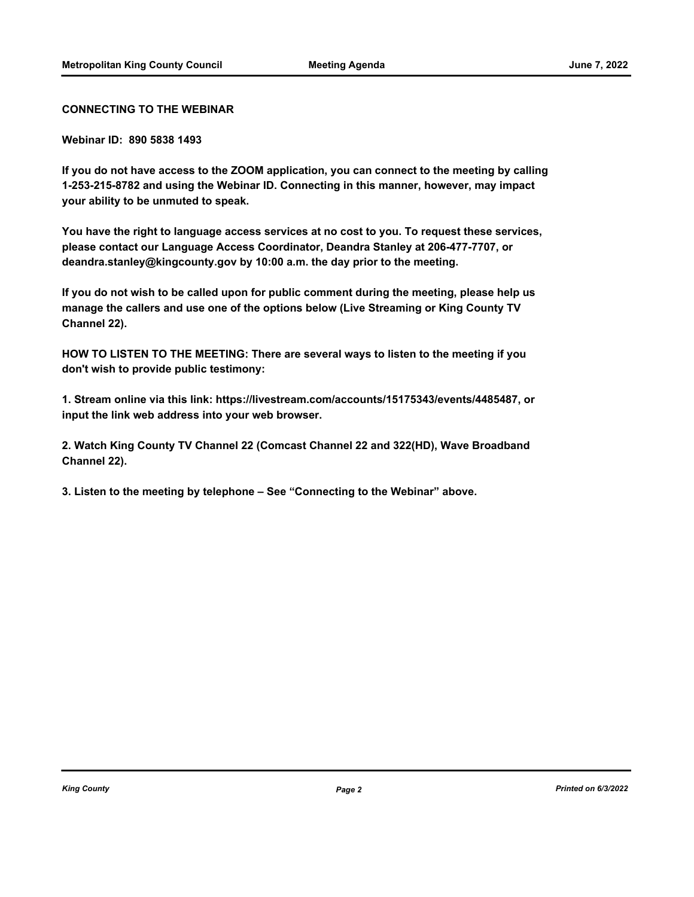#### **CONNECTING TO THE WEBINAR**

**Webinar ID: 890 5838 1493**

**If you do not have access to the ZOOM application, you can connect to the meeting by calling 1-253-215-8782 and using the Webinar ID. Connecting in this manner, however, may impact your ability to be unmuted to speak.** 

**You have the right to language access services at no cost to you. To request these services, please contact our Language Access Coordinator, Deandra Stanley at 206-477-7707, or deandra.stanley@kingcounty.gov by 10:00 a.m. the day prior to the meeting.**

**If you do not wish to be called upon for public comment during the meeting, please help us manage the callers and use one of the options below (Live Streaming or King County TV Channel 22).**

**HOW TO LISTEN TO THE MEETING: There are several ways to listen to the meeting if you don't wish to provide public testimony:**

**1. Stream online via this link: https://livestream.com/accounts/15175343/events/4485487, or input the link web address into your web browser.**

**2. Watch King County TV Channel 22 (Comcast Channel 22 and 322(HD), Wave Broadband Channel 22).**

**3. Listen to the meeting by telephone – See "Connecting to the Webinar" above.**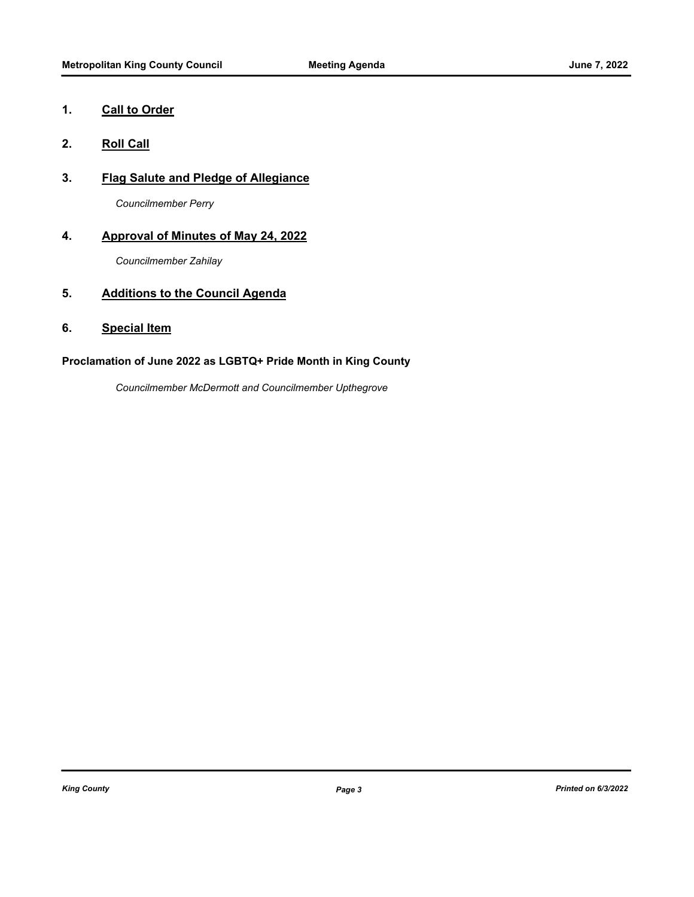## **1. Call to Order**

- **2. Roll Call**
- **3. Flag Salute and Pledge of Allegiance**

*Councilmember Perry*

## **4. Approval of Minutes of May 24, 2022**

*Councilmember Zahilay*

## **5. Additions to the Council Agenda**

**6. Special Item**

## **Proclamation of June 2022 as LGBTQ+ Pride Month in King County**

*Councilmember McDermott and Councilmember Upthegrove*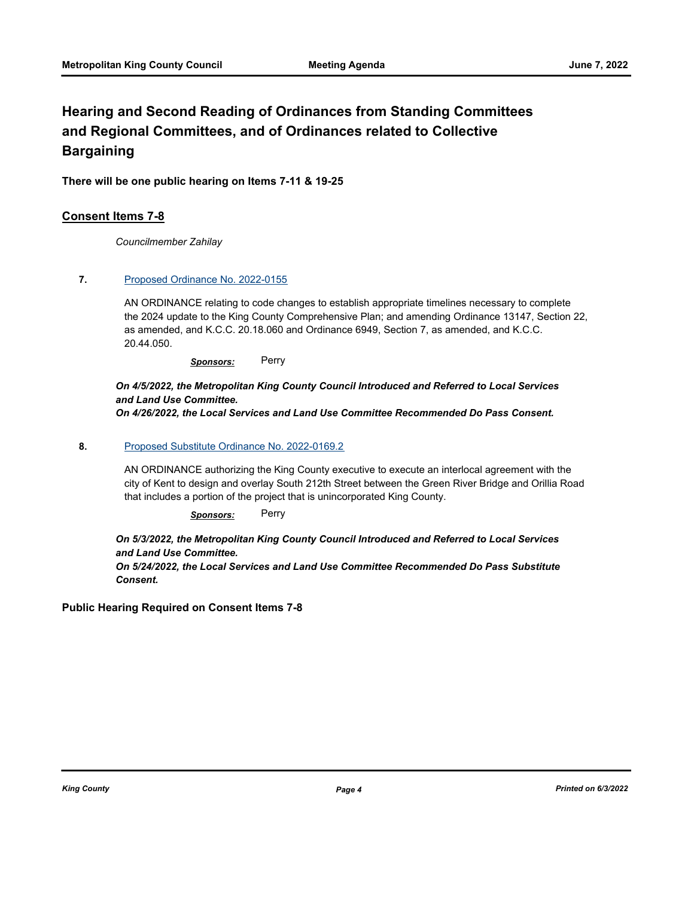# **Hearing and Second Reading of Ordinances from Standing Committees and Regional Committees, and of Ordinances related to Collective Bargaining**

**There will be one public hearing on Items 7-11 & 19-25**

## **Consent Items 7-8**

*Councilmember Zahilay*

#### **7.** [Proposed Ordinance No. 2022-0155](http://kingcounty.legistar.com/gateway.aspx?m=l&id=/matter.aspx?key=23026)

AN ORDINANCE relating to code changes to establish appropriate timelines necessary to complete the 2024 update to the King County Comprehensive Plan; and amending Ordinance 13147, Section 22, as amended, and K.C.C. 20.18.060 and Ordinance 6949, Section 7, as amended, and K.C.C. 20.44.050.

*Sponsors:* Perry

*On 4/5/2022, the Metropolitan King County Council Introduced and Referred to Local Services and Land Use Committee.* 

*On 4/26/2022, the Local Services and Land Use Committee Recommended Do Pass Consent.*

#### **8.** [Proposed Substitute Ordinance No. 2022-0169.2](http://kingcounty.legistar.com/gateway.aspx?m=l&id=/matter.aspx?key=23056)

AN ORDINANCE authorizing the King County executive to execute an interlocal agreement with the city of Kent to design and overlay South 212th Street between the Green River Bridge and Orillia Road that includes a portion of the project that is unincorporated King County.

*Sponsors:* Perry

*On 5/3/2022, the Metropolitan King County Council Introduced and Referred to Local Services and Land Use Committee.* 

*On 5/24/2022, the Local Services and Land Use Committee Recommended Do Pass Substitute Consent.*

**Public Hearing Required on Consent Items 7-8**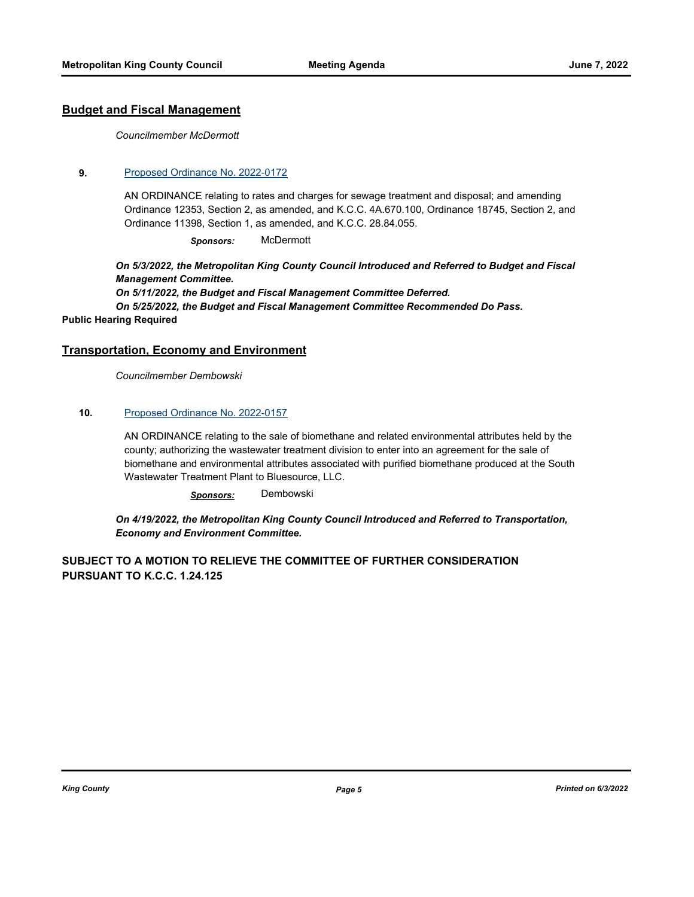### **Budget and Fiscal Management**

*Councilmember McDermott*

#### **9.** [Proposed Ordinance No. 2022-0172](http://kingcounty.legistar.com/gateway.aspx?m=l&id=/matter.aspx?key=23076)

AN ORDINANCE relating to rates and charges for sewage treatment and disposal; and amending Ordinance 12353, Section 2, as amended, and K.C.C. 4A.670.100, Ordinance 18745, Section 2, and Ordinance 11398, Section 1, as amended, and K.C.C. 28.84.055.

*Sponsors:* McDermott

*On 5/3/2022, the Metropolitan King County Council Introduced and Referred to Budget and Fiscal Management Committee.* 

*On 5/11/2022, the Budget and Fiscal Management Committee Deferred. On 5/25/2022, the Budget and Fiscal Management Committee Recommended Do Pass.* **Public Hearing Required**

### **Transportation, Economy and Environment**

*Councilmember Dembowski*

#### **10.** [Proposed Ordinance No. 2022-0157](http://kingcounty.legistar.com/gateway.aspx?m=l&id=/matter.aspx?key=23028)

AN ORDINANCE relating to the sale of biomethane and related environmental attributes held by the county; authorizing the wastewater treatment division to enter into an agreement for the sale of biomethane and environmental attributes associated with purified biomethane produced at the South Wastewater Treatment Plant to Bluesource, LLC.

*Sponsors:* Dembowski

*On 4/19/2022, the Metropolitan King County Council Introduced and Referred to Transportation, Economy and Environment Committee.*

## **SUBJECT TO A MOTION TO RELIEVE THE COMMITTEE OF FURTHER CONSIDERATION PURSUANT TO K.C.C. 1.24.125**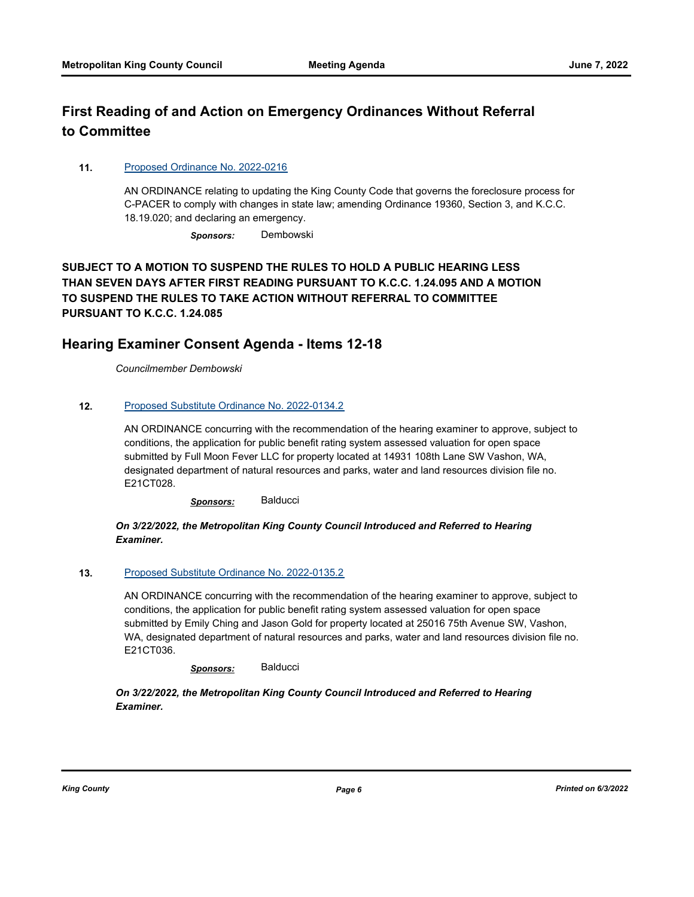# **First Reading of and Action on Emergency Ordinances Without Referral to Committee**

## **11.** [Proposed Ordinance No. 2022-0216](http://kingcounty.legistar.com/gateway.aspx?m=l&id=/matter.aspx?key=23155)

AN ORDINANCE relating to updating the King County Code that governs the foreclosure process for C-PACER to comply with changes in state law; amending Ordinance 19360, Section 3, and K.C.C. 18.19.020; and declaring an emergency.

*Sponsors:* Dembowski

# **SUBJECT TO A MOTION TO SUSPEND THE RULES TO HOLD A PUBLIC HEARING LESS THAN SEVEN DAYS AFTER FIRST READING PURSUANT TO K.C.C. 1.24.095 AND A MOTION TO SUSPEND THE RULES TO TAKE ACTION WITHOUT REFERRAL TO COMMITTEE PURSUANT TO K.C.C. 1.24.085**

# **Hearing Examiner Consent Agenda - Items 12-18**

*Councilmember Dembowski*

## **12.** [Proposed Substitute Ordinance No. 2022-0134.2](http://kingcounty.legistar.com/gateway.aspx?m=l&id=/matter.aspx?key=22982)

AN ORDINANCE concurring with the recommendation of the hearing examiner to approve, subject to conditions, the application for public benefit rating system assessed valuation for open space submitted by Full Moon Fever LLC for property located at 14931 108th Lane SW Vashon, WA, designated department of natural resources and parks, water and land resources division file no. E21CT028.

*Sponsors:* Balducci

### *On 3/22/2022, the Metropolitan King County Council Introduced and Referred to Hearing Examiner.*

#### **13.** [Proposed Substitute Ordinance No. 2022-0135.2](http://kingcounty.legistar.com/gateway.aspx?m=l&id=/matter.aspx?key=22983)

AN ORDINANCE concurring with the recommendation of the hearing examiner to approve, subject to conditions, the application for public benefit rating system assessed valuation for open space submitted by Emily Ching and Jason Gold for property located at 25016 75th Avenue SW, Vashon, WA, designated department of natural resources and parks, water and land resources division file no. E21CT036.

*Sponsors:* Balducci

*On 3/22/2022, the Metropolitan King County Council Introduced and Referred to Hearing Examiner.*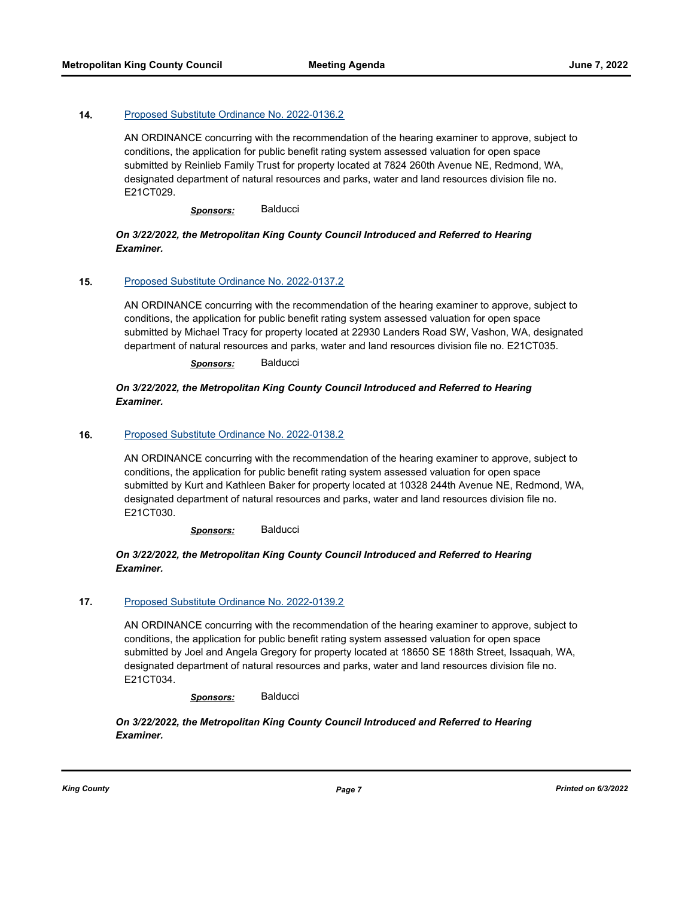#### **14.** [Proposed Substitute Ordinance No. 2022-0136.2](http://kingcounty.legistar.com/gateway.aspx?m=l&id=/matter.aspx?key=22984)

AN ORDINANCE concurring with the recommendation of the hearing examiner to approve, subject to conditions, the application for public benefit rating system assessed valuation for open space submitted by Reinlieb Family Trust for property located at 7824 260th Avenue NE, Redmond, WA, designated department of natural resources and parks, water and land resources division file no. E21CT029.

*Sponsors:* Balducci

#### *On 3/22/2022, the Metropolitan King County Council Introduced and Referred to Hearing Examiner.*

#### **15.** [Proposed Substitute Ordinance No. 2022-0137.2](http://kingcounty.legistar.com/gateway.aspx?m=l&id=/matter.aspx?key=22985)

AN ORDINANCE concurring with the recommendation of the hearing examiner to approve, subject to conditions, the application for public benefit rating system assessed valuation for open space submitted by Michael Tracy for property located at 22930 Landers Road SW, Vashon, WA, designated department of natural resources and parks, water and land resources division file no. E21CT035.

*Sponsors:* Balducci

### *On 3/22/2022, the Metropolitan King County Council Introduced and Referred to Hearing Examiner.*

### **16.** [Proposed Substitute Ordinance No. 2022-0138.2](http://kingcounty.legistar.com/gateway.aspx?m=l&id=/matter.aspx?key=22987)

AN ORDINANCE concurring with the recommendation of the hearing examiner to approve, subject to conditions, the application for public benefit rating system assessed valuation for open space submitted by Kurt and Kathleen Baker for property located at 10328 244th Avenue NE, Redmond, WA, designated department of natural resources and parks, water and land resources division file no. E21CT030.

*Sponsors:* Balducci

#### *On 3/22/2022, the Metropolitan King County Council Introduced and Referred to Hearing Examiner.*

#### **17.** [Proposed Substitute Ordinance No. 2022-0139.2](http://kingcounty.legistar.com/gateway.aspx?m=l&id=/matter.aspx?key=22988)

AN ORDINANCE concurring with the recommendation of the hearing examiner to approve, subject to conditions, the application for public benefit rating system assessed valuation for open space submitted by Joel and Angela Gregory for property located at 18650 SE 188th Street, Issaquah, WA, designated department of natural resources and parks, water and land resources division file no. E21CT034.

*Sponsors:* Balducci

*On 3/22/2022, the Metropolitan King County Council Introduced and Referred to Hearing Examiner.*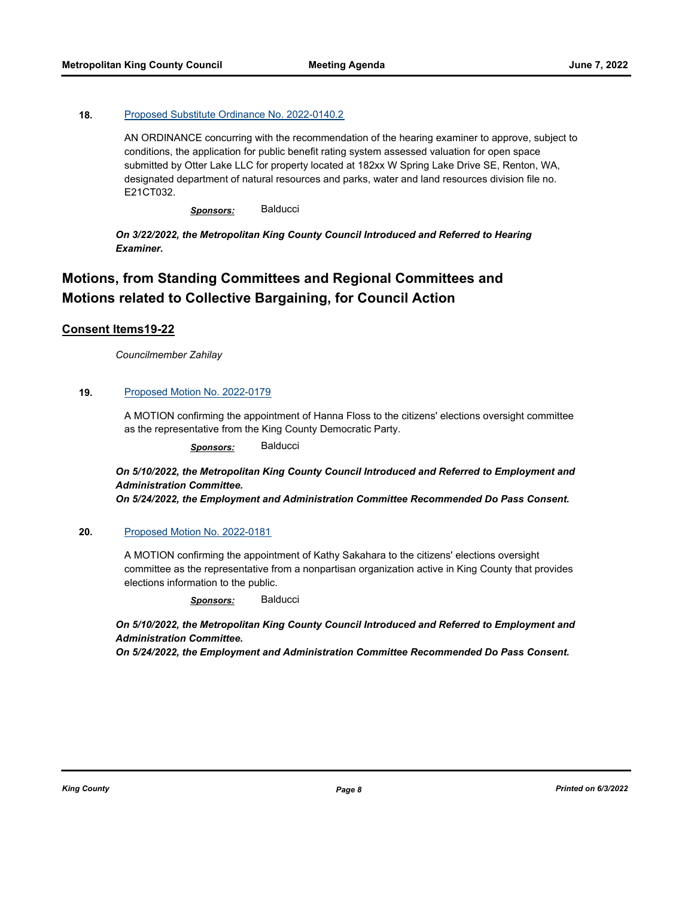#### **18.** [Proposed Substitute Ordinance No. 2022-0140.2](http://kingcounty.legistar.com/gateway.aspx?m=l&id=/matter.aspx?key=22989)

AN ORDINANCE concurring with the recommendation of the hearing examiner to approve, subject to conditions, the application for public benefit rating system assessed valuation for open space submitted by Otter Lake LLC for property located at 182xx W Spring Lake Drive SE, Renton, WA, designated department of natural resources and parks, water and land resources division file no. E21CT032.

*Sponsors:* Balducci

*On 3/22/2022, the Metropolitan King County Council Introduced and Referred to Hearing Examiner.*

# **Motions, from Standing Committees and Regional Committees and Motions related to Collective Bargaining, for Council Action**

### **Consent Items19-22**

*Councilmember Zahilay*

## **19.** [Proposed Motion No. 2022-0179](http://kingcounty.legistar.com/gateway.aspx?m=l&id=/matter.aspx?key=23096)

A MOTION confirming the appointment of Hanna Floss to the citizens' elections oversight committee as the representative from the King County Democratic Party.

*Sponsors:* Balducci

*On 5/10/2022, the Metropolitan King County Council Introduced and Referred to Employment and Administration Committee.* 

*On 5/24/2022, the Employment and Administration Committee Recommended Do Pass Consent.*

#### **20.** [Proposed Motion No. 2022-0181](http://kingcounty.legistar.com/gateway.aspx?m=l&id=/matter.aspx?key=23099)

A MOTION confirming the appointment of Kathy Sakahara to the citizens' elections oversight committee as the representative from a nonpartisan organization active in King County that provides elections information to the public.

*Sponsors:* Balducci

*On 5/10/2022, the Metropolitan King County Council Introduced and Referred to Employment and Administration Committee.* 

*On 5/24/2022, the Employment and Administration Committee Recommended Do Pass Consent.*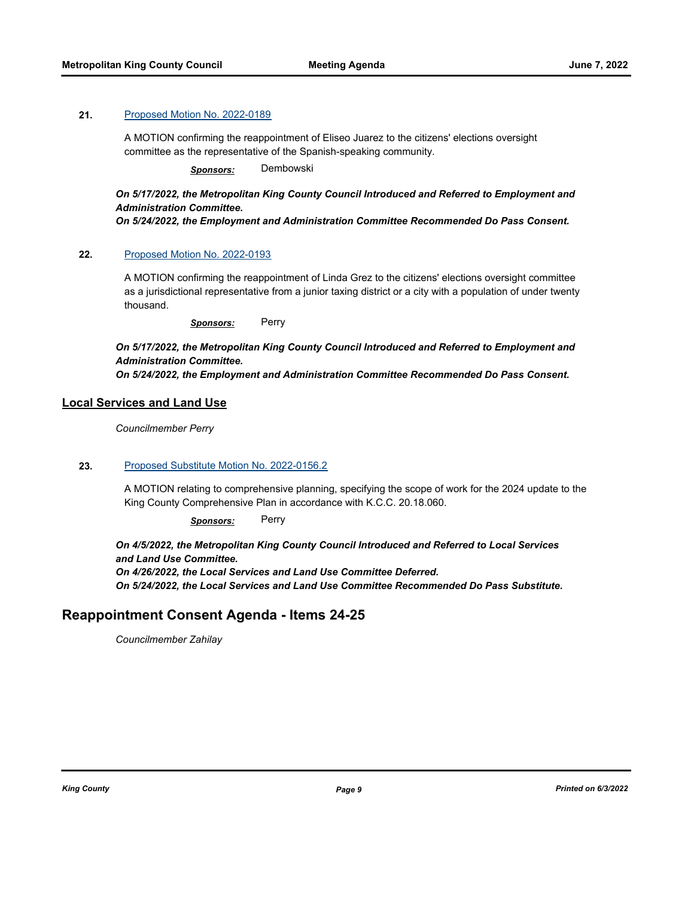A MOTION confirming the reappointment of Eliseo Juarez to the citizens' elections oversight committee as the representative of the Spanish-speaking community.

*Sponsors:* Dembowski

## *On 5/17/2022, the Metropolitan King County Council Introduced and Referred to Employment and Administration Committee.*

*On 5/24/2022, the Employment and Administration Committee Recommended Do Pass Consent.*

#### **22.** [Proposed Motion No. 2022-0193](http://kingcounty.legistar.com/gateway.aspx?m=l&id=/matter.aspx?key=23112)

A MOTION confirming the reappointment of Linda Grez to the citizens' elections oversight committee as a jurisdictional representative from a junior taxing district or a city with a population of under twenty thousand.

*Sponsors:* Perry

*On 5/17/2022, the Metropolitan King County Council Introduced and Referred to Employment and Administration Committee.* 

*On 5/24/2022, the Employment and Administration Committee Recommended Do Pass Consent.*

#### **Local Services and Land Use**

*Councilmember Perry*

#### **23.** [Proposed Substitute Motion No. 2022-0156.2](http://kingcounty.legistar.com/gateway.aspx?m=l&id=/matter.aspx?key=23027)

A MOTION relating to comprehensive planning, specifying the scope of work for the 2024 update to the King County Comprehensive Plan in accordance with K.C.C. 20.18.060.

### *Sponsors:* Perry

*On 4/5/2022, the Metropolitan King County Council Introduced and Referred to Local Services and Land Use Committee. On 4/26/2022, the Local Services and Land Use Committee Deferred. On 5/24/2022, the Local Services and Land Use Committee Recommended Do Pass Substitute.*

# **Reappointment Consent Agenda - Items 24-25**

*Councilmember Zahilay*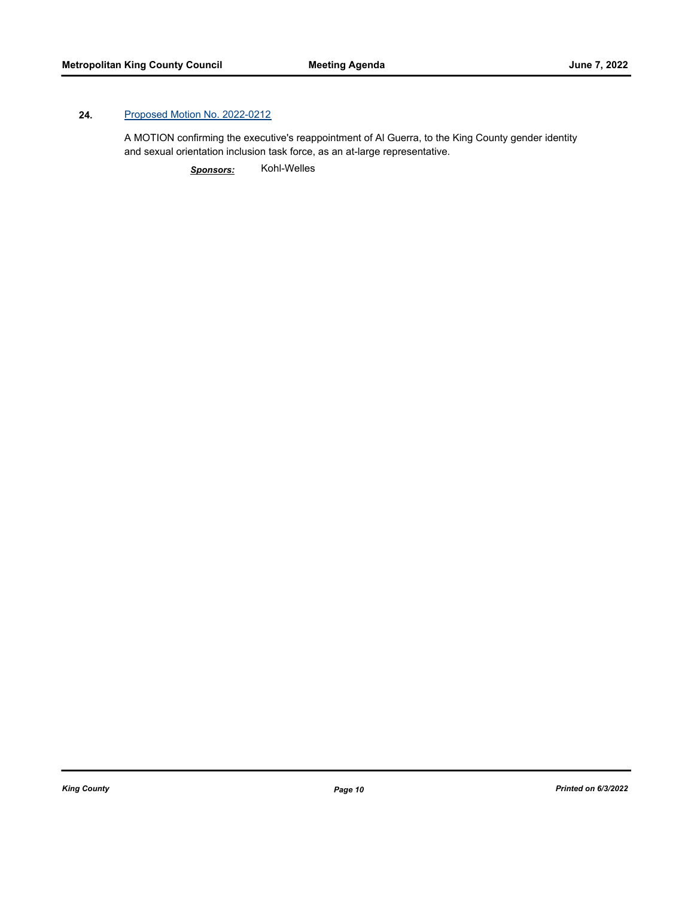A MOTION confirming the executive's reappointment of Al Guerra, to the King County gender identity and sexual orientation inclusion task force, as an at-large representative.

*Sponsors:* Kohl-Welles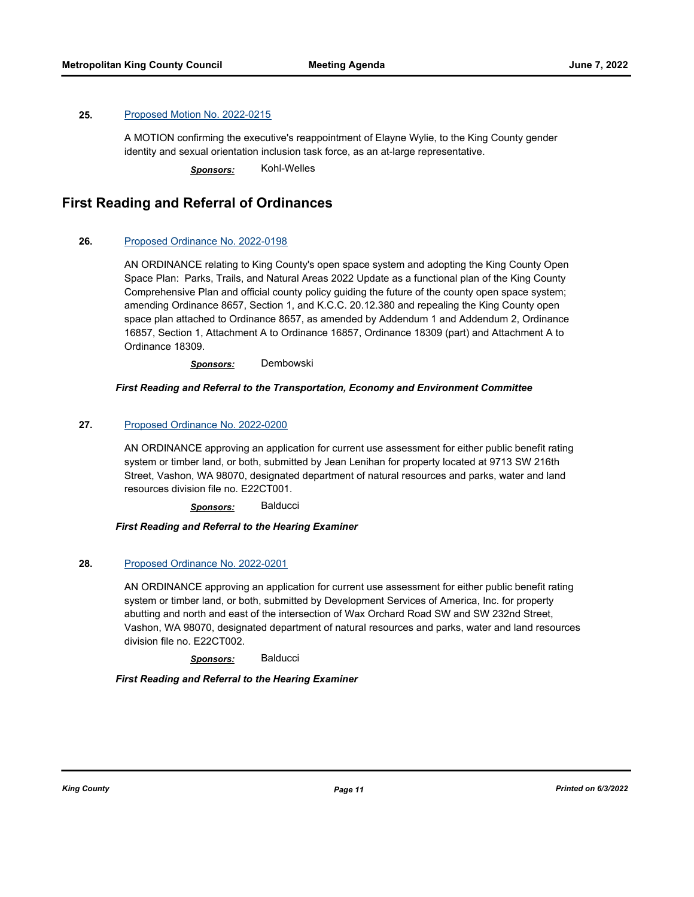A MOTION confirming the executive's reappointment of Elayne Wylie, to the King County gender identity and sexual orientation inclusion task force, as an at-large representative.

*Sponsors:* Kohl-Welles

# **First Reading and Referral of Ordinances**

#### **26.** [Proposed Ordinance No. 2022-0198](http://kingcounty.legistar.com/gateway.aspx?m=l&id=/matter.aspx?key=23124)

AN ORDINANCE relating to King County's open space system and adopting the King County Open Space Plan: Parks, Trails, and Natural Areas 2022 Update as a functional plan of the King County Comprehensive Plan and official county policy guiding the future of the county open space system; amending Ordinance 8657, Section 1, and K.C.C. 20.12.380 and repealing the King County open space plan attached to Ordinance 8657, as amended by Addendum 1 and Addendum 2, Ordinance 16857, Section 1, Attachment A to Ordinance 16857, Ordinance 18309 (part) and Attachment A to Ordinance 18309.

*Sponsors:* Dembowski

#### *First Reading and Referral to the Transportation, Economy and Environment Committee*

#### **27.** [Proposed Ordinance No. 2022-0200](http://kingcounty.legistar.com/gateway.aspx?m=l&id=/matter.aspx?key=23129)

AN ORDINANCE approving an application for current use assessment for either public benefit rating system or timber land, or both, submitted by Jean Lenihan for property located at 9713 SW 216th Street, Vashon, WA 98070, designated department of natural resources and parks, water and land resources division file no. E22CT001.

*Sponsors:* Balducci

### *First Reading and Referral to the Hearing Examiner*

#### **28.** [Proposed Ordinance No. 2022-0201](http://kingcounty.legistar.com/gateway.aspx?m=l&id=/matter.aspx?key=23130)

AN ORDINANCE approving an application for current use assessment for either public benefit rating system or timber land, or both, submitted by Development Services of America, Inc. for property abutting and north and east of the intersection of Wax Orchard Road SW and SW 232nd Street, Vashon, WA 98070, designated department of natural resources and parks, water and land resources division file no. E22CT002.

*Sponsors:* Balducci

#### *First Reading and Referral to the Hearing Examiner*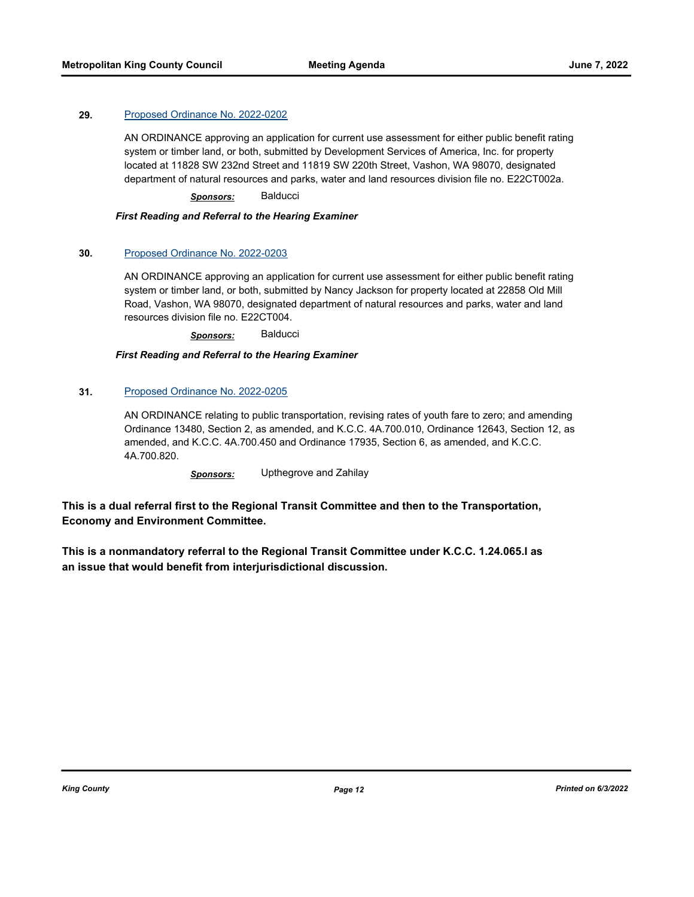### **29.** [Proposed Ordinance No. 2022-0202](http://kingcounty.legistar.com/gateway.aspx?m=l&id=/matter.aspx?key=23131)

AN ORDINANCE approving an application for current use assessment for either public benefit rating system or timber land, or both, submitted by Development Services of America, Inc. for property located at 11828 SW 232nd Street and 11819 SW 220th Street, Vashon, WA 98070, designated department of natural resources and parks, water and land resources division file no. E22CT002a.

*Sponsors:* Balducci

*First Reading and Referral to the Hearing Examiner*

#### **30.** [Proposed Ordinance No. 2022-0203](http://kingcounty.legistar.com/gateway.aspx?m=l&id=/matter.aspx?key=23133)

AN ORDINANCE approving an application for current use assessment for either public benefit rating system or timber land, or both, submitted by Nancy Jackson for property located at 22858 Old Mill Road, Vashon, WA 98070, designated department of natural resources and parks, water and land resources division file no. E22CT004.

*Sponsors:* Balducci

#### *First Reading and Referral to the Hearing Examiner*

#### **31.** [Proposed Ordinance No. 2022-0205](http://kingcounty.legistar.com/gateway.aspx?m=l&id=/matter.aspx?key=23144)

AN ORDINANCE relating to public transportation, revising rates of youth fare to zero; and amending Ordinance 13480, Section 2, as amended, and K.C.C. 4A.700.010, Ordinance 12643, Section 12, as amended, and K.C.C. 4A.700.450 and Ordinance 17935, Section 6, as amended, and K.C.C. 4A.700.820.

*Sponsors:* Upthegrove and Zahilay

**This is a dual referral first to the Regional Transit Committee and then to the Transportation, Economy and Environment Committee.**

**This is a nonmandatory referral to the Regional Transit Committee under K.C.C. 1.24.065.I as an issue that would benefit from interjurisdictional discussion.**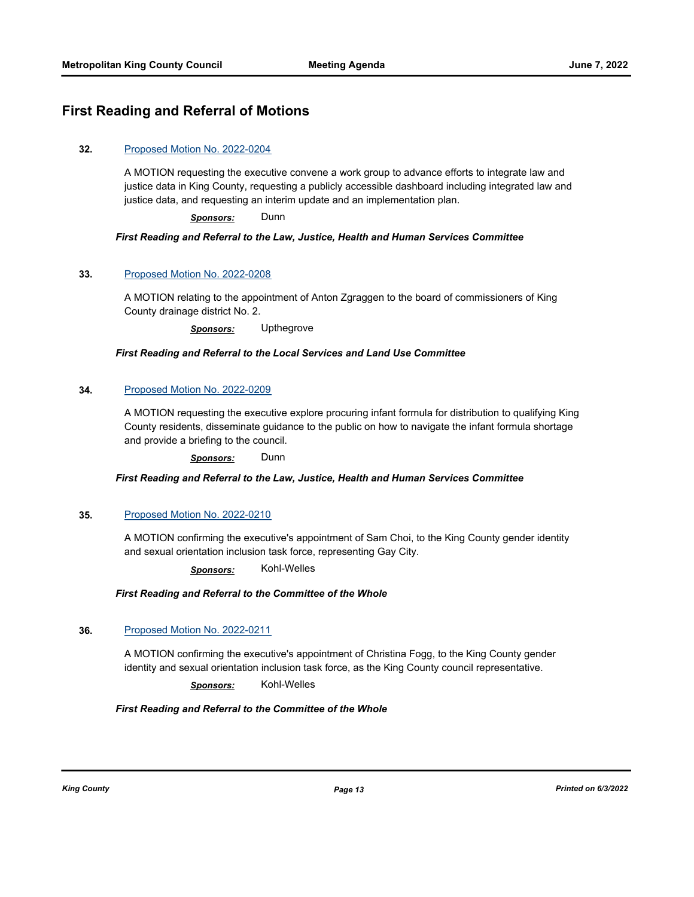# **First Reading and Referral of Motions**

#### **32.** [Proposed Motion No. 2022-0204](http://kingcounty.legistar.com/gateway.aspx?m=l&id=/matter.aspx?key=23139)

A MOTION requesting the executive convene a work group to advance efforts to integrate law and justice data in King County, requesting a publicly accessible dashboard including integrated law and justice data, and requesting an interim update and an implementation plan.

*Sponsors:* Dunn

#### *First Reading and Referral to the Law, Justice, Health and Human Services Committee*

### **33.** [Proposed Motion No. 2022-0208](http://kingcounty.legistar.com/gateway.aspx?m=l&id=/matter.aspx?key=23147)

A MOTION relating to the appointment of Anton Zgraggen to the board of commissioners of King County drainage district No. 2.

*Sponsors:* Upthegrove

#### *First Reading and Referral to the Local Services and Land Use Committee*

## **34.** [Proposed Motion No. 2022-0209](http://kingcounty.legistar.com/gateway.aspx?m=l&id=/matter.aspx?key=23148)

A MOTION requesting the executive explore procuring infant formula for distribution to qualifying King County residents, disseminate guidance to the public on how to navigate the infant formula shortage and provide a briefing to the council.

*Sponsors:* Dunn

*First Reading and Referral to the Law, Justice, Health and Human Services Committee*

#### **35.** [Proposed Motion No. 2022-0210](http://kingcounty.legistar.com/gateway.aspx?m=l&id=/matter.aspx?key=23149)

A MOTION confirming the executive's appointment of Sam Choi, to the King County gender identity and sexual orientation inclusion task force, representing Gay City.

*Sponsors:* Kohl-Welles

*First Reading and Referral to the Committee of the Whole*

#### **36.** [Proposed Motion No. 2022-0211](http://kingcounty.legistar.com/gateway.aspx?m=l&id=/matter.aspx?key=23150)

A MOTION confirming the executive's appointment of Christina Fogg, to the King County gender identity and sexual orientation inclusion task force, as the King County council representative.

*Sponsors:* Kohl-Welles

*First Reading and Referral to the Committee of the Whole*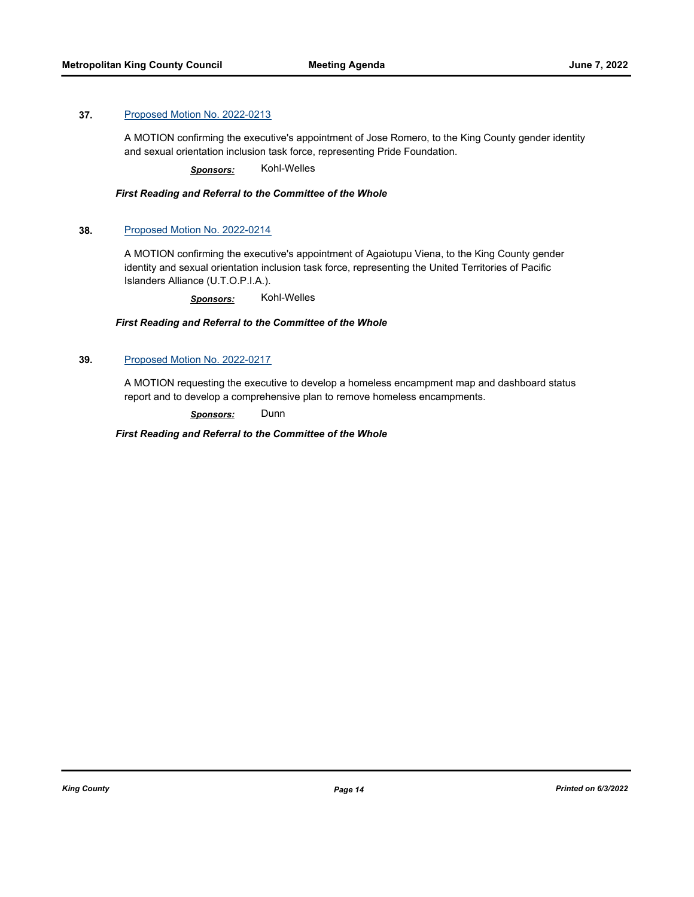A MOTION confirming the executive's appointment of Jose Romero, to the King County gender identity and sexual orientation inclusion task force, representing Pride Foundation.

*Sponsors:* Kohl-Welles

#### *First Reading and Referral to the Committee of the Whole*

#### **38.** [Proposed Motion No. 2022-0214](http://kingcounty.legistar.com/gateway.aspx?m=l&id=/matter.aspx?key=23153)

A MOTION confirming the executive's appointment of Agaiotupu Viena, to the King County gender identity and sexual orientation inclusion task force, representing the United Territories of Pacific Islanders Alliance (U.T.O.P.I.A.).

*Sponsors:* Kohl-Welles

#### *First Reading and Referral to the Committee of the Whole*

#### **39.** [Proposed Motion No. 2022-0217](http://kingcounty.legistar.com/gateway.aspx?m=l&id=/matter.aspx?key=23165)

A MOTION requesting the executive to develop a homeless encampment map and dashboard status report and to develop a comprehensive plan to remove homeless encampments.

*Sponsors:* Dunn

*First Reading and Referral to the Committee of the Whole*